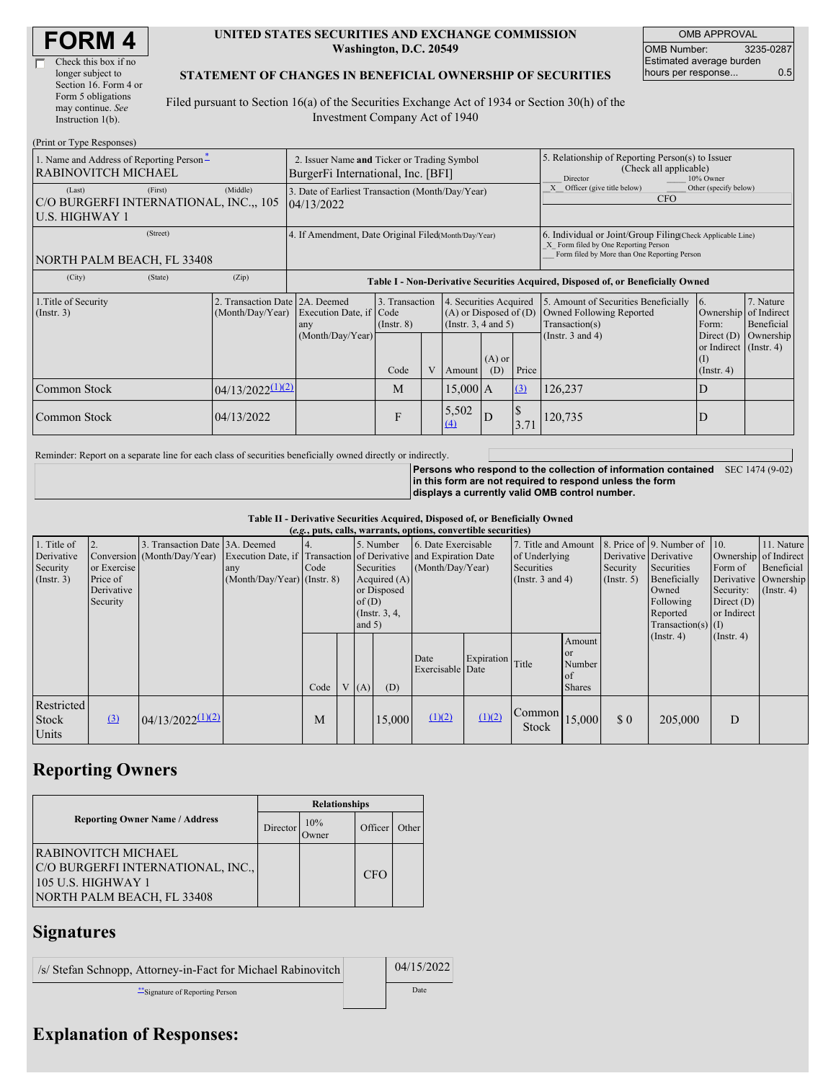| <b>FORM4</b> |
|--------------|
|--------------|

#### **UNITED STATES SECURITIES AND EXCHANGE COMMISSION Washington, D.C. 20549**

OMB APPROVAL OMB Number: 3235-0287 Estimated average burden hours per response... 0.5

### **STATEMENT OF CHANGES IN BENEFICIAL OWNERSHIP OF SECURITIES**

Filed pursuant to Section 16(a) of the Securities Exchange Act of 1934 or Section 30(h) of the Investment Company Act of 1940

| (Print or Type Responses)                                              |                                                                                                                                                                                                        |                                                                                   |                                                                                  |                                                                                    |                                       |                         |                                                                                                                                                    |                                                                                                     |                       |                                                                 |           |
|------------------------------------------------------------------------|--------------------------------------------------------------------------------------------------------------------------------------------------------------------------------------------------------|-----------------------------------------------------------------------------------|----------------------------------------------------------------------------------|------------------------------------------------------------------------------------|---------------------------------------|-------------------------|----------------------------------------------------------------------------------------------------------------------------------------------------|-----------------------------------------------------------------------------------------------------|-----------------------|-----------------------------------------------------------------|-----------|
| 1. Name and Address of Reporting Person-<br><b>RABINOVITCH MICHAEL</b> |                                                                                                                                                                                                        | 2. Issuer Name and Ticker or Trading Symbol<br>BurgerFi International, Inc. [BFI] |                                                                                  |                                                                                    |                                       |                         |                                                                                                                                                    | 5. Relationship of Reporting Person(s) to Issuer<br>(Check all applicable)<br>10% Owner<br>Director |                       |                                                                 |           |
| (Last)<br>C/O BURGERFI INTERNATIONAL, INC.,, 105<br>U.S. HIGHWAY 1     | (Middle)                                                                                                                                                                                               | 3. Date of Earliest Transaction (Month/Day/Year)<br>04/13/2022                    |                                                                                  |                                                                                    |                                       |                         |                                                                                                                                                    | Officer (give title below)<br>Other (specify below)<br><b>CFO</b>                                   |                       |                                                                 |           |
| NORTH PALM BEACH, FL 33408                                             |                                                                                                                                                                                                        | 4. If Amendment, Date Original Filed(Month/Day/Year)                              |                                                                                  |                                                                                    |                                       |                         | 6. Individual or Joint/Group Filing(Check Applicable Line)<br>X Form filed by One Reporting Person<br>Form filed by More than One Reporting Person |                                                                                                     |                       |                                                                 |           |
| (City)                                                                 | (State)                                                                                                                                                                                                | (Zip)                                                                             | Table I - Non-Derivative Securities Acquired, Disposed of, or Beneficially Owned |                                                                                    |                                       |                         |                                                                                                                                                    |                                                                                                     |                       |                                                                 |           |
| 1. Title of Security<br>(Insert. 3)                                    | 3. Transaction<br>Transaction Date 2A. Deemed<br>4. Securities Acquired<br>Execution Date, if Code<br>$(A)$ or Disposed of $(D)$<br>(Month/Day/Year)<br>(Insert. 3, 4 and 5)<br>$($ Instr. $8)$<br>any |                                                                                   |                                                                                  | 5. Amount of Securities Beneficially<br>Owned Following Reported<br>Transaction(s) | 16.<br>Ownership of Indirect<br>Form: | 7. Nature<br>Beneficial |                                                                                                                                                    |                                                                                                     |                       |                                                                 |           |
|                                                                        |                                                                                                                                                                                                        |                                                                                   | (Month/Day/Year)                                                                 | Code                                                                               | V                                     | Amount                  | $(A)$ or<br>(D)                                                                                                                                    | Price                                                                                               | (Instr. $3$ and $4$ ) | Direct (D)<br>or Indirect (Instr. 4)<br>(I)<br>$($ Instr. 4 $)$ | Ownership |
| Common Stock                                                           |                                                                                                                                                                                                        | $04/13/2022^{(1)(2)}$                                                             |                                                                                  | M                                                                                  |                                       | 15,000 A                |                                                                                                                                                    | (3)                                                                                                 | 126,237               | D                                                               |           |
| Common Stock                                                           |                                                                                                                                                                                                        | 04/13/2022                                                                        |                                                                                  | F                                                                                  |                                       | 5,502<br>(4)            | D                                                                                                                                                  | <sup>\$</sup><br>3.71                                                                               | 120,735               | ID                                                              |           |

Reminder: Report on a separate line for each class of securities beneficially owned directly or indirectly.

**Persons who respond to the collection of information contained** SEC 1474 (9-02) **in this form are not required to respond unless the form displays a currently valid OMB control number.**

**Table II - Derivative Securities Acquired, Disposed of, or Beneficially Owned**

| (e.g., puts, calls, warrants, options, convertible securities) |                                                   |                                |                                      |            |                                                                                                                                                                                                    |      |                                         |                          |                                                                                    |                                                     |                                                      |                                                                                                                      |                                                     |                                                                                               |  |
|----------------------------------------------------------------|---------------------------------------------------|--------------------------------|--------------------------------------|------------|----------------------------------------------------------------------------------------------------------------------------------------------------------------------------------------------------|------|-----------------------------------------|--------------------------|------------------------------------------------------------------------------------|-----------------------------------------------------|------------------------------------------------------|----------------------------------------------------------------------------------------------------------------------|-----------------------------------------------------|-----------------------------------------------------------------------------------------------|--|
| 1. Title of<br>Derivative<br>Security<br>(Insert. 3)           | or Exercise<br>Price of<br>Derivative<br>Security | Transaction Date 3A, Deemed    | any<br>$(Month/Day/Year)$ (Instr. 8) | 4.<br>Code | 5. Number<br>Conversion (Month/Day/Year) Execution Date, if Transaction of Derivative and Expiration Date<br>Securities<br>Acquired (A)<br>or Disposed<br>of $(D)$<br>(Instr. $3, 4$ ,<br>and $5)$ |      | 6. Date Exercisable<br>(Month/Day/Year) |                          | 7. Title and Amount<br>of Underlying<br><b>Securities</b><br>(Instr. $3$ and $4$ ) |                                                     | Derivative Derivative<br>Security<br>$($ Instr. 5)   | 8. Price of 9. Number of 10.<br>Securities<br>Beneficially<br>Owned<br>Following<br>Reported<br>$Transaction(s)$ (I) | Form of<br>Security:<br>Direct $(D)$<br>or Indirect | 11. Nature<br>Ownership of Indirect<br>Beneficial<br>Derivative Ownership<br>$($ Instr. 4 $)$ |  |
|                                                                |                                                   |                                |                                      | Code       |                                                                                                                                                                                                    | V(A) | (D)                                     | Date<br>Exercisable Date | Expiration Title                                                                   |                                                     | Amount<br><b>or</b><br>Number<br>of<br><b>Shares</b> |                                                                                                                      | $($ Instr. 4 $)$                                    | $($ Instr. 4 $)$                                                                              |  |
| Restricted<br><b>Stock</b><br>Units                            | $\left(3\right)$                                  | $04/13/2022$ <sup>(1)(2)</sup> |                                      | M          |                                                                                                                                                                                                    |      | 15,000                                  | (1)(2)                   | (1)(2)                                                                             | $\left \text{Common}\right $ 15,000<br><b>Stock</b> |                                                      | \$0                                                                                                                  | 205,000                                             | D                                                                                             |  |

# **Reporting Owners**

|                                                                                                              | <b>Relationships</b> |              |            |       |  |  |  |  |
|--------------------------------------------------------------------------------------------------------------|----------------------|--------------|------------|-------|--|--|--|--|
| <b>Reporting Owner Name / Address</b>                                                                        | Director             | 10%<br>Owner | Officer    | Other |  |  |  |  |
| RABINOVITCH MICHAEL<br>C/O BURGERFI INTERNATIONAL, INC.,<br>105 U.S. HIGHWAY 1<br>NORTH PALM BEACH, FL 33408 |                      |              | <b>CFO</b> |       |  |  |  |  |

### **Signatures**

| /s/ Stefan Schnopp, Attorney-in-Fact for Michael Rabinovitch | 04/15/2022 |
|--------------------------------------------------------------|------------|
| Signature of Reporting Person                                | Date       |

# **Explanation of Responses:**